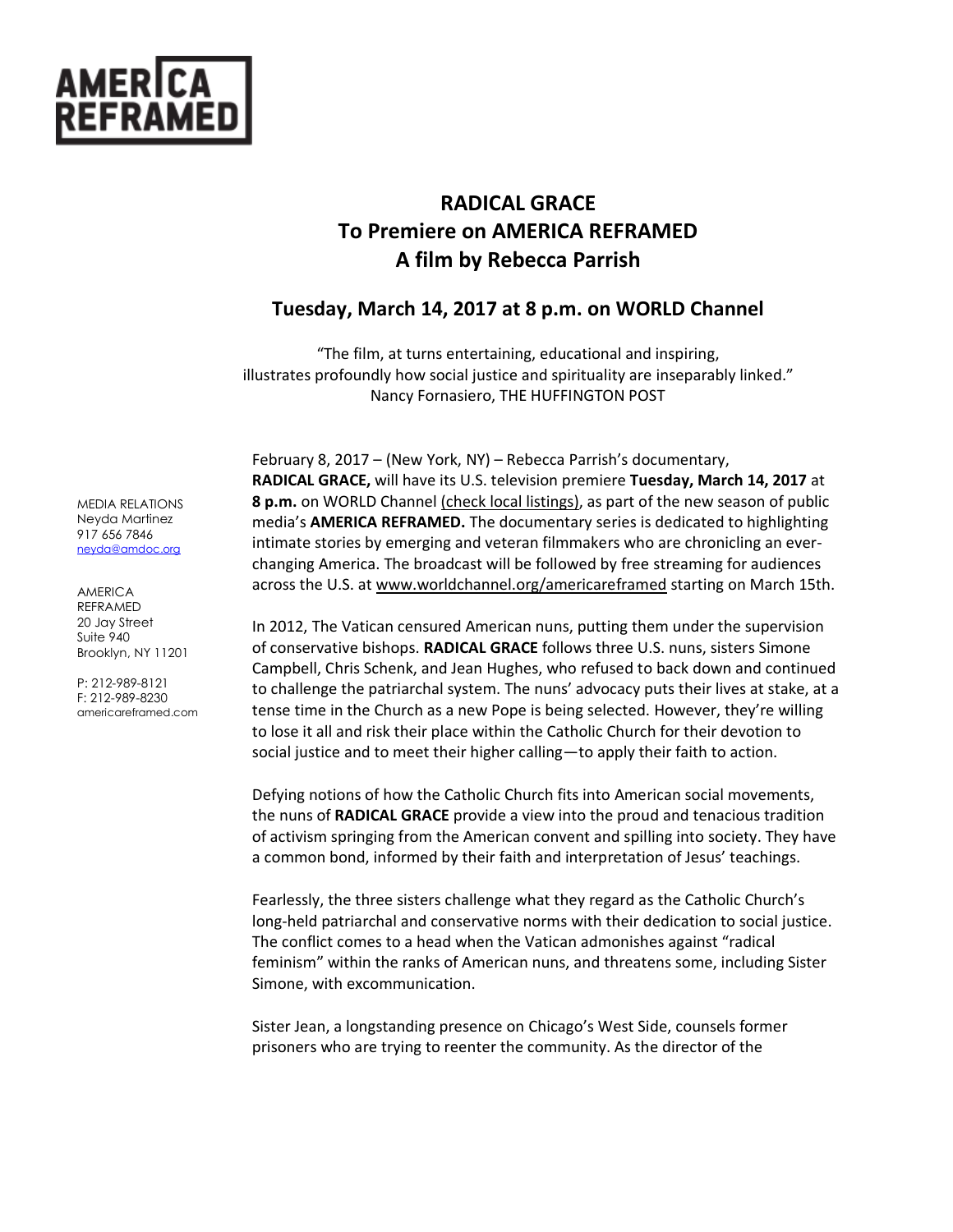

# **RADICAL GRACE To Premiere on AMERICA REFRAMED A film by Rebecca Parrish**

# **Tuesday, March 14, 2017 at 8 p.m. on WORLD Channel**

"The film, at turns entertaining, educational and inspiring, illustrates profoundly how social justice and spirituality are inseparably linked." Nancy Fornasiero, THE HUFFINGTON POST

February 8, 2017 – (New York, NY) – Rebecca Parrish's documentary, **RADICAL GRACE,** will have its U.S. television premiere **Tuesday, March 14, 2017** at **8 p.m.** on WORLD Channel [\(check local listings\),](http://worldchannel.org/schedule/localize/) as part of the new season of public media's **AMERICA REFRAMED.** The documentary series is dedicated to highlighting intimate stories by emerging and veteran filmmakers who are chronicling an everchanging America. The broadcast will be followed by free streaming for audiences across the U.S. a[t www.worldchannel.org/americareframed](http://www.worldchannel.org/americareframed) starting on March 15th.

In 2012, The Vatican censured American nuns, putting them under the supervision of conservative bishops. **RADICAL GRACE** follows three U.S. nuns, sisters Simone Campbell, Chris Schenk, and Jean Hughes, who refused to back down and continued to challenge the patriarchal system. The nuns' advocacy puts their lives at stake, at a tense time in the Church as a new Pope is being selected. However, they're willing to lose it all and risk their place within the Catholic Church for their devotion to social justice and to meet their higher calling—to apply their faith to action.

Defying notions of how the Catholic Church fits into American social movements, the nuns of **RADICAL GRACE** provide a view into the proud and tenacious tradition of activism springing from the American convent and spilling into society. They have a common bond, informed by their faith and interpretation of Jesus' teachings.

Fearlessly, the three sisters challenge what they regard as the Catholic Church's long-held patriarchal and conservative norms with their dedication to social justice. The conflict comes to a head when the Vatican admonishes against "radical feminism" within the ranks of American nuns, and threatens some, including Sister Simone, with excommunication.

Sister Jean, a longstanding presence on Chicago's West Side, counsels former prisoners who are trying to reenter the community. As the director of the

MEDIA RELATIONS Neyda Martinez 917 656 7846 [neyda@amdoc.org](mailto:neyda@amdoc.org)

AMERICA REFRAMED 20 Jay Street Suite 940 Brooklyn, NY 11201

P: 212-989-8121 F: 212-989-8230 americareframed.com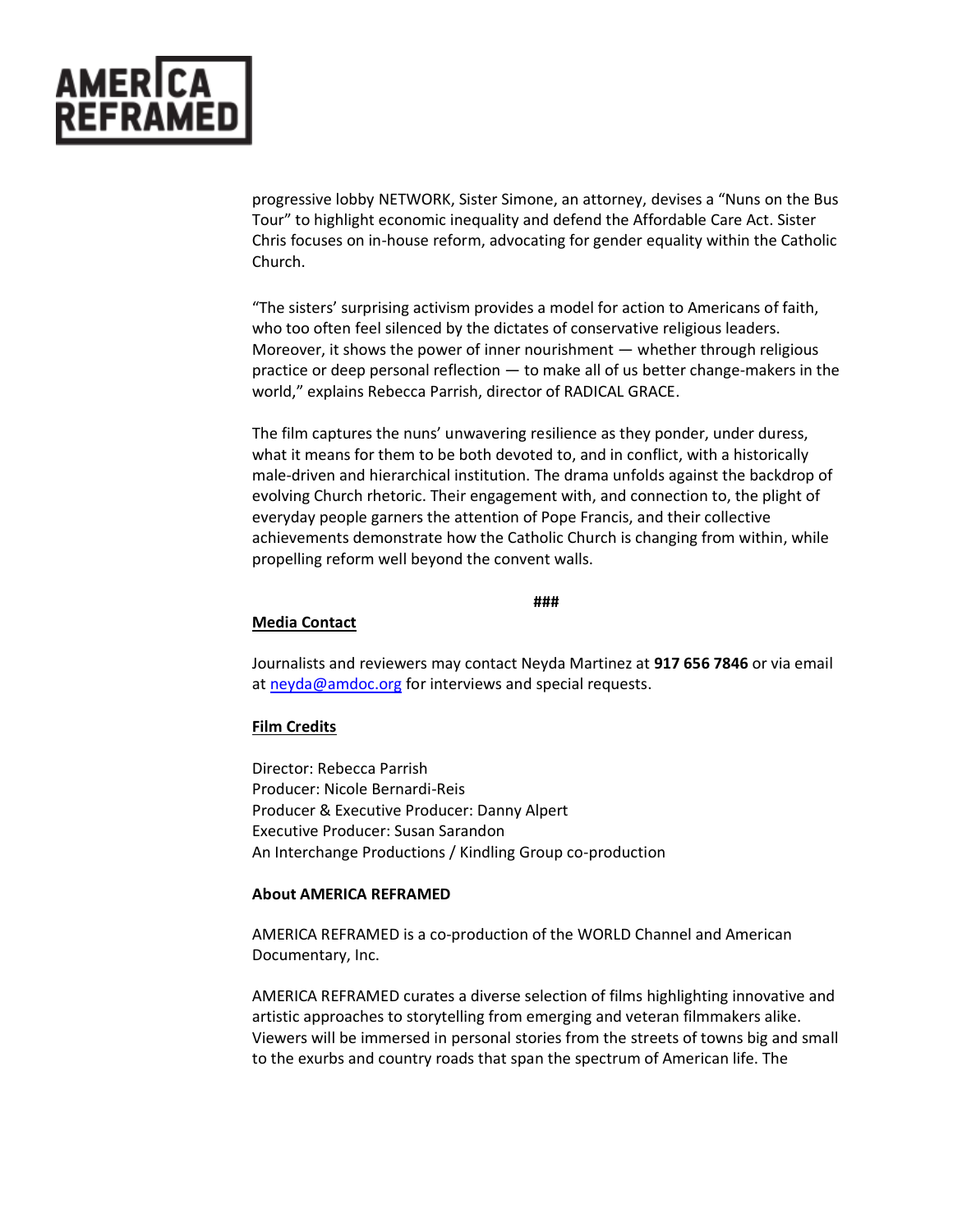

progressive lobby NETWORK, Sister Simone, an attorney, devises a "Nuns on the Bus Tour" to highlight economic inequality and defend the Affordable Care Act. Sister Chris focuses on in-house reform, advocating for gender equality within the Catholic Church.

"The sisters' surprising activism provides a model for action to Americans of faith, who too often feel silenced by the dictates of conservative religious leaders. Moreover, it shows the power of inner nourishment — whether through religious practice or deep personal reflection — to make all of us better change-makers in the world," explains Rebecca Parrish, director of RADICAL GRACE.

The film captures the nuns' unwavering resilience as they ponder, under duress, what it means for them to be both devoted to, and in conflict, with a historically male-driven and hierarchical institution. The drama unfolds against the backdrop of evolving Church rhetoric. Their engagement with, and connection to, the plight of everyday people garners the attention of Pope Francis, and their collective achievements demonstrate how the Catholic Church is changing from within, while propelling reform well beyond the convent walls.

#### **###**

### **Media Contact**

Journalists and reviewers may contact Neyda Martinez at **917 656 7846** or via email a[t neyda@amdoc.org](mailto:neyda.martinez@gmail.com) for interviews and special requests.

## **Film Credits**

Director: Rebecca Parrish Producer: Nicole Bernardi-Reis Producer & Executive Producer: Danny Alpert Executive Producer: Susan Sarandon An Interchange Productions / Kindling Group co-production

### **About AMERICA REFRAMED**

AMERICA REFRAMED is a co-production of the WORLD Channel and American Documentary, Inc.

AMERICA REFRAMED curates a diverse selection of films highlighting innovative and artistic approaches to storytelling from emerging and veteran filmmakers alike. Viewers will be immersed in personal stories from the streets of towns big and small to the exurbs and country roads that span the spectrum of American life. The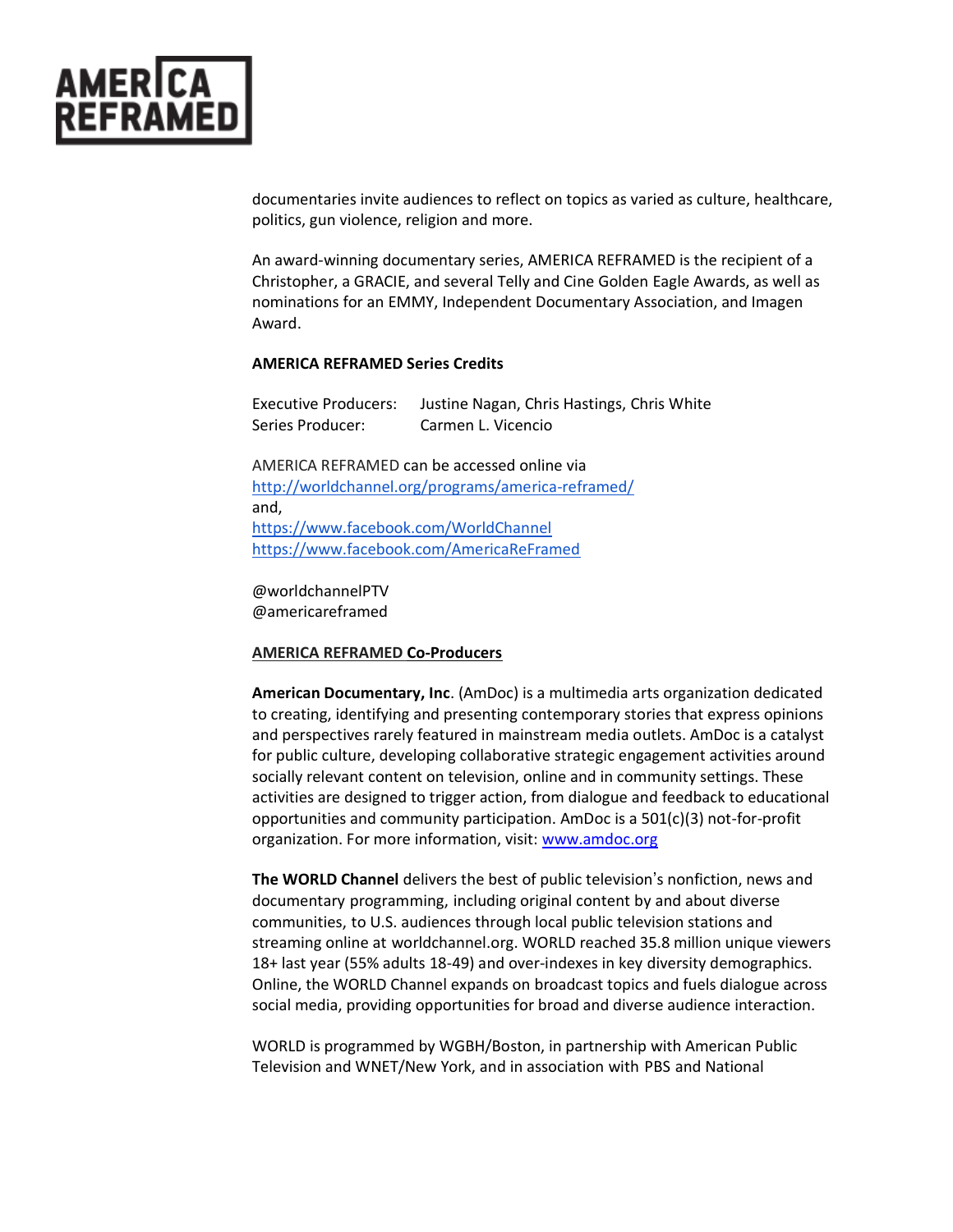

documentaries invite audiences to reflect on topics as varied as culture, healthcare, politics, gun violence, religion and more.

An award-winning documentary series, AMERICA REFRAMED is the recipient of a Christopher, a GRACIE, and several Telly and Cine Golden Eagle Awards, as well as nominations for an EMMY, Independent Documentary Association, and Imagen Award.

### **AMERICA REFRAMED Series Credits**

Executive Producers: Justine Nagan, Chris Hastings, Chris White Series Producer: Carmen L. Vicencio

AMERICA REFRAMED can be accessed online via <http://worldchannel.org/programs/america-reframed/> and, <https://www.facebook.com/WorldChannel> <https://www.facebook.com/AmericaReFramed>

@worldchannelPTV @americareframed

#### **AMERICA REFRAMED Co-Producers**

**American Documentary, Inc**. (AmDoc) is a multimedia arts organization dedicated to creating, identifying and presenting contemporary stories that express opinions and perspectives rarely featured in mainstream media outlets. AmDoc is a catalyst for public culture, developing collaborative strategic engagement activities around socially relevant content on television, online and in community settings. These activities are designed to trigger action, from dialogue and feedback to educational opportunities and community participation. AmDoc is a 501(c)(3) not-for-profit organization. For more information, visit: [www.amdoc.org](http://www.amdoc.org/)

**The WORLD Channel** delivers the best of public television's nonfiction, news and documentary programming, including original content by and about diverse communities, to U.S. audiences through local public television stations and streaming online at worldchannel.org. WORLD reached 35.8 million unique viewers 18+ last year (55% adults 18-49) and over-indexes in key diversity demographics. Online, the WORLD Channel expands on broadcast topics and fuels dialogue across social media, providing opportunities for broad and diverse audience interaction.

WORLD is programmed by WGBH/Boston, in partnership with American Public Television and WNET/New York, and in association with PBS and National